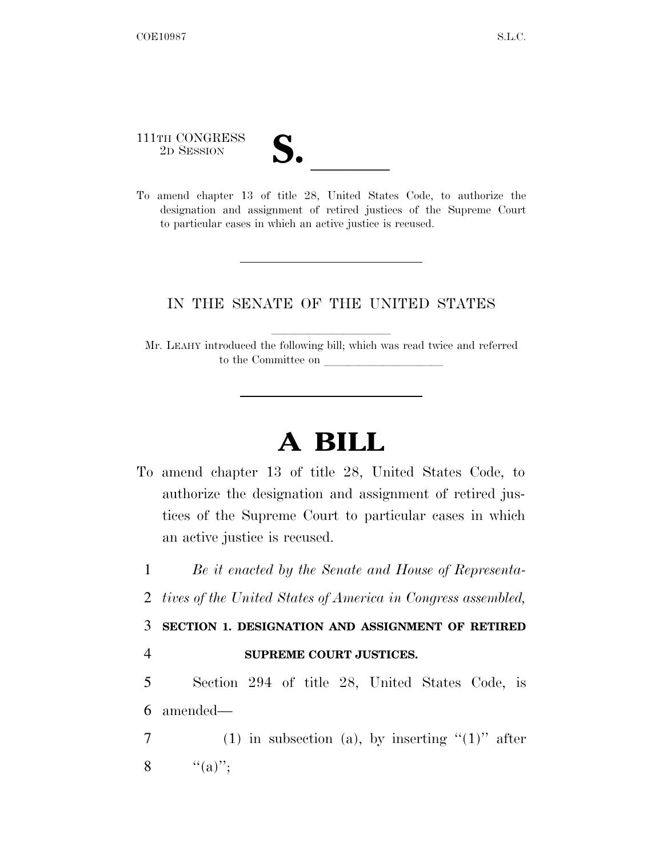111TH CONGRESS

- 111TH CONGRESS<br>
2D SESSION<br>
To amend chapter 13 of title 28, United States Code, to authorize the
- designation and assignment of retired justices of the Supreme Court to particular cases in which an active justice is recused.

## IN THE SENATE OF THE UNITED STATES

Mr. LEAHY introduced the following bill; which was read twice and referred to the Committee on

## **A BILL**

To amend chapter 13 of title 28, United States Code, to authorize the designation and assignment of retired justices of the Supreme Court to particular cases in which an active justice is recused.

1 *Be it enacted by the Senate and House of Representa-*

2 *tives of the United States of America in Congress assembled,* 

3 **SECTION 1. DESIGNATION AND ASSIGNMENT OF RETIRED** 

## 4 **SUPREME COURT JUSTICES.**

5 Section 294 of title 28, United States Code, is 6 amended—

7 (1) in subsection (a), by inserting  $(1)$ " after 8  $"({\rm a})"$ ;